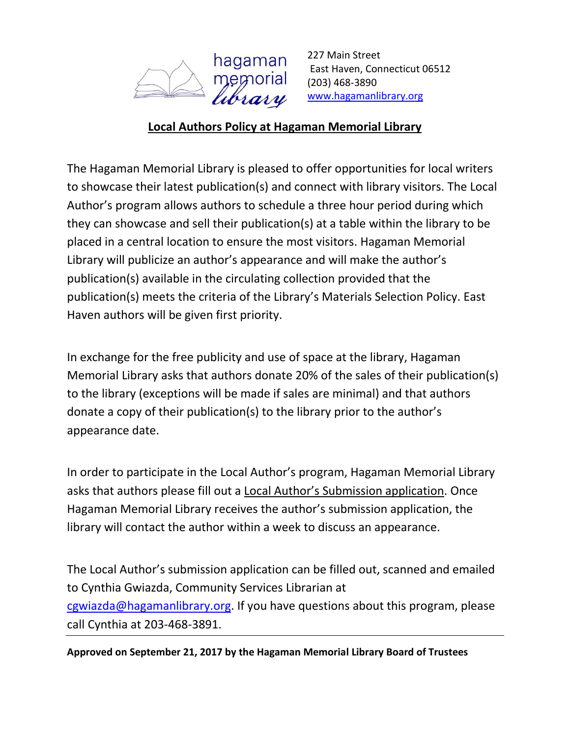

227 Main Street East Haven, Connecticut 06512 (203) 468-3890 [www.hagamanlibrary.org](http://www.hagamanlibrary.org/)

## **Local Authors Policy at Hagaman Memorial Library**

The Hagaman Memorial Library is pleased to offer opportunities for local writers to showcase their latest publication(s) and connect with library visitors. The Local Author's program allows authors to schedule a three hour period during which they can showcase and sell their publication(s) at a table within the library to be placed in a central location to ensure the most visitors. Hagaman Memorial Library will publicize an author's appearance and will make the author's publication(s) available in the circulating collection provided that the publication(s) meets the criteria of the Library's Materials Selection Policy. East Haven authors will be given first priority.

In exchange for the free publicity and use of space at the library, Hagaman Memorial Library asks that authors donate 20% of the sales of their publication(s) to the library (exceptions will be made if sales are minimal) and that authors donate a copy of their publication(s) to the library prior to the author's appearance date.

In order to participate in the Local Author's program, Hagaman Memorial Library asks that authors please fill out a Local Author's Submission application. Once Hagaman Memorial Library receives the author's submission application, the library will contact the author within a week to discuss an appearance.

The Local Author's submission application can be filled out, scanned and emailed to Cynthia Gwiazda, Community Services Librarian at [cgwiazda@hagamanlibrary.org.](mailto:cgwiazda@hagamanlibrary.org) If you have questions about this program, please call Cynthia at 203-468-3891.

**Approved on September 21, 2017 by the Hagaman Memorial Library Board of Trustees**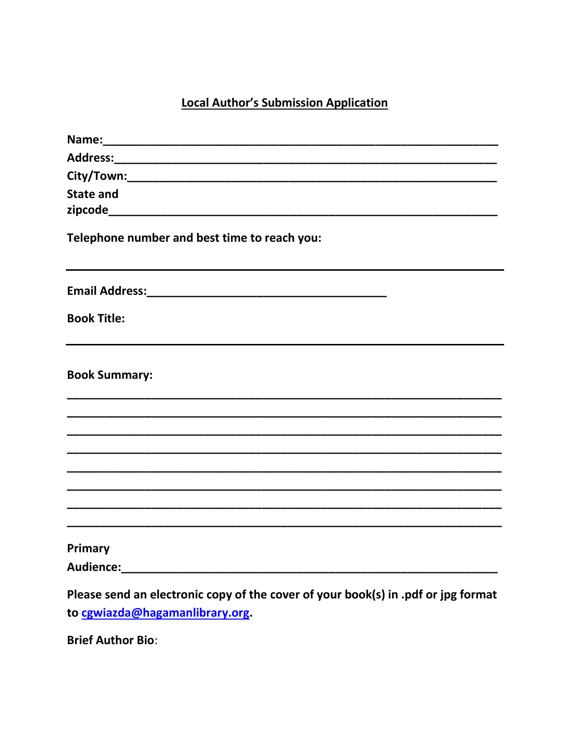## **Local Author's Submission Application**

| Name: 2008 2010 2020 2021 2021 2022 2023 2024 2022 2023 2024 2022 2023 2024 2022 2023 2024 2022 2023 2024 2022 2023 2024 2022 2023 2024 2022 2023 2024 2022 2023 2024 2022 2023 2024 2022 2023 2024 2022 2023 2024 2023 2024 2 |
|--------------------------------------------------------------------------------------------------------------------------------------------------------------------------------------------------------------------------------|
|                                                                                                                                                                                                                                |
|                                                                                                                                                                                                                                |
| <b>State and</b>                                                                                                                                                                                                               |
| Telephone number and best time to reach you:                                                                                                                                                                                   |
|                                                                                                                                                                                                                                |
| <b>Book Title:</b>                                                                                                                                                                                                             |
| <b>Book Summary:</b>                                                                                                                                                                                                           |
|                                                                                                                                                                                                                                |
|                                                                                                                                                                                                                                |
| Primary                                                                                                                                                                                                                        |
| Audience:                                                                                                                                                                                                                      |
| Please send an electronic copy of the cover of your book(s) in .pdf or jpg format<br>to cgwiazda@hagamanlibrary.org.                                                                                                           |

**Brief Author Bio:**